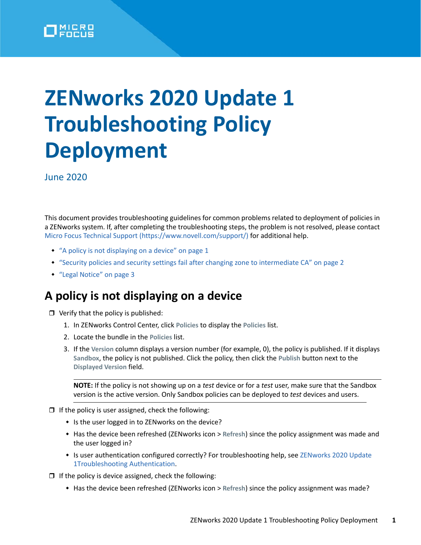

## **ZENworks 2020 Update 1 Troubleshooting Policy Deployment**

June 2020

This document provides troubleshooting guidelines for common problems related to deployment of policies in a ZENworks system. If, after completing the troubleshooting steps, the problem is not resolved, please contact [Micro Focus Technical Support](https://www.novell.com/support/) (https://www.novell.com/support/) for additional help.

- ["A policy is not displaying on a device" on page 1](#page-0-0)
- ["Security policies and security settings fail after changing zone to intermediate CA" on page 2](#page-1-0)
- ["Legal Notice" on page 3](#page-2-0)

## <span id="page-0-0"></span>**A policy is not displaying on a device**

 $\Box$  Verify that the policy is published:

- 1. In ZENworks Control Center, click **Policies** to display the **Policies** list.
- 2. Locate the bundle in the **Policies** list.
- 3. If the **Version** column displays a version number (for example, 0), the policy is published. If it displays **Sandbox**, the policy is not published. Click the policy, then click the **Publish** button next to the **Displayed Version** field.

**NOTE:** If the policy is not showing up on a *test* device or for a *test* user, make sure that the Sandbox version is the active version. Only Sandbox policies can be deployed to *test* devices and users.

- $\Box$  If the policy is user assigned, check the following:
	- Is the user logged in to ZENworks on the device?
	- Has the device been refreshed (ZENworks icon > **Refresh**) since the policy assignment was made and the user logged in?
	- Is user authentication configured correctly? For troubleshooting help, see ZENworks 2020 Update [1Troubleshooting Authentication.](https://www.novell.com/documentation/zenworks-2020/pdfdoc/zen_troubleshooting_authentication/zen_troubleshooting_authentication.pdf#zentroubleshootingauthentication)
- $\Box$  If the policy is device assigned, check the following:
	- Has the device been refreshed (ZENworks icon > **Refresh**) since the policy assignment was made?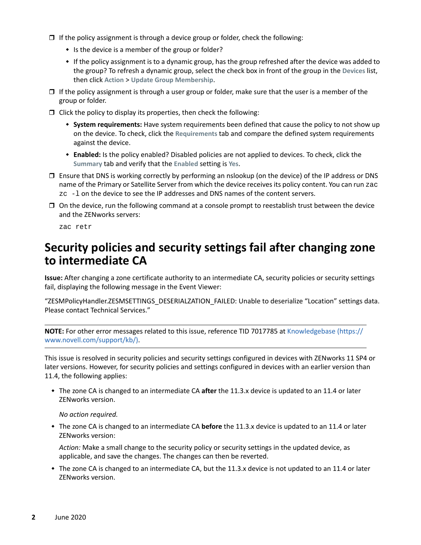- $\Box$  If the policy assignment is through a device group or folder, check the following:
	- $\bullet$  Is the device is a member of the group or folder?
	- If the policy assignment is to a dynamic group, has the group refreshed after the device was added to the group? To refresh a dynamic group, select the check box in front of the group in the **Devices** list, then click **Action** > **Update Group Membership**.
- $\Box$  If the policy assignment is through a user group or folder, make sure that the user is a member of the group or folder.
- $\Box$  Click the policy to display its properties, then check the following:
	- **System requirements:** Have system requirements been defined that cause the policy to not show up on the device. To check, click the **Requirements** tab and compare the defined system requirements against the device.
	- **Enabled:** Is the policy enabled? Disabled policies are not applied to devices. To check, click the **Summary** tab and verify that the **Enabled** setting is **Yes**.
- $\square$  Ensure that DNS is working correctly by performing an nslookup (on the device) of the IP address or DNS name of the Primary or Satellite Server from which the device receives its policy content. You can run zac zc -l on the device to see the IP addresses and DNS names of the content servers.
- $\Box$  On the device, run the following command at a console prompt to reestablish trust between the device and the ZENworks servers:

zac retr

## <span id="page-1-0"></span>**Security policies and security settings fail after changing zone to intermediate CA**

**Issue:** After changing a zone certificate authority to an intermediate CA, security policies or security settings fail, displaying the following message in the Event Viewer:

"ZESMPolicyHandler.ZESMSETTINGS\_DESERIALZATION\_FAILED: Unable to deserialize "Location" settings data. Please contact Technical Services."

**NOTE:** For other error messages related to this issue, reference TID 7017785 at [Knowledgebase](https://www.novell.com/support/kb/) (https:// www.novell.com/support/kb/).

This issue is resolved in security policies and security settings configured in devices with ZENworks 11 SP4 or later versions. However, for security policies and settings configured in devices with an earlier version than 11.4, the following applies:

 The zone CA is changed to an intermediate CA **after** the 11.3.x device is updated to an 11.4 or later ZENworks version.

*No action required.*

 The zone CA is changed to an intermediate CA **before** the 11.3.x device is updated to an 11.4 or later ZENworks version:

*Action:* Make a small change to the security policy or security settings in the updated device, as applicable, and save the changes. The changes can then be reverted.

 The zone CA is changed to an intermediate CA, but the 11.3.x device is not updated to an 11.4 or later ZENworks version.